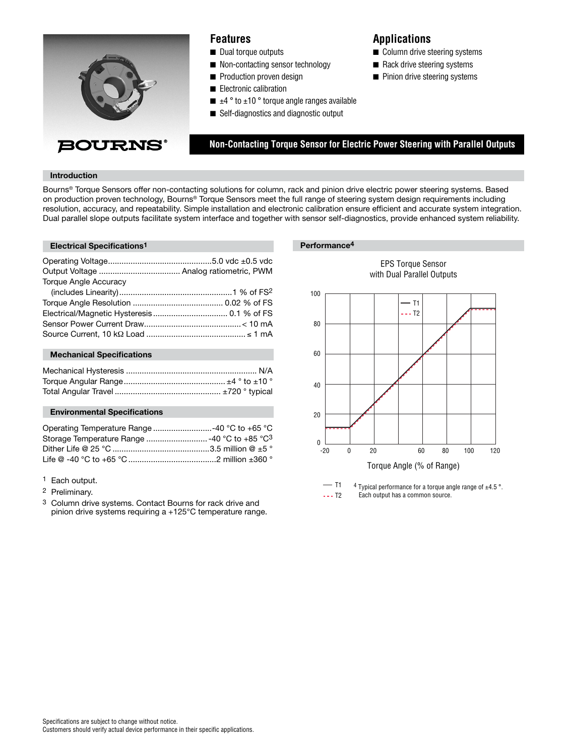

## **Features**

- Dual torque outputs
- Non-contacting sensor technology
- Production proven design
- Electronic calibration
- $\blacksquare$   $\pm$ 4 ° to  $\pm$ 10 ° torque angle ranges available
- Self-diagnostics and diagnostic output

# **Applications**

 **Non-Contacting Torque Sensor for Electric Power Steering with Parallel Outputs**

- Column drive steering systems
- Rack drive steering systems
- Pinion drive steering systems

**Introduction**

Bourns® Torque Sensors offer non-contacting solutions for column, rack and pinion drive electric power steering systems. Based on production proven technology, Bourns® Torque Sensors meet the full range of steering system design requirements including resolution, accuracy, and repeatability. Simple installation and electronic calibration ensure efficient and accurate system integration. Dual parallel slope outputs facilitate system interface and together with sensor self-diagnostics, provide enhanced system reliability.

#### **Electrical Specifications<sup>1</sup> <b>Performance**<sup>4</sup>

| <b>Torque Angle Accuracy</b> |  |
|------------------------------|--|
|                              |  |
|                              |  |
|                              |  |
|                              |  |
|                              |  |
|                              |  |

#### **Mechanical Specifications**

### **Environmental Specifications**

<sup>1</sup> Each output.

- 2 Preliminary.
- 3 Column drive systems. Contact Bourns for rack drive and pinion drive systems requiring a +125°C temperature range.



EPS Torque Sensor